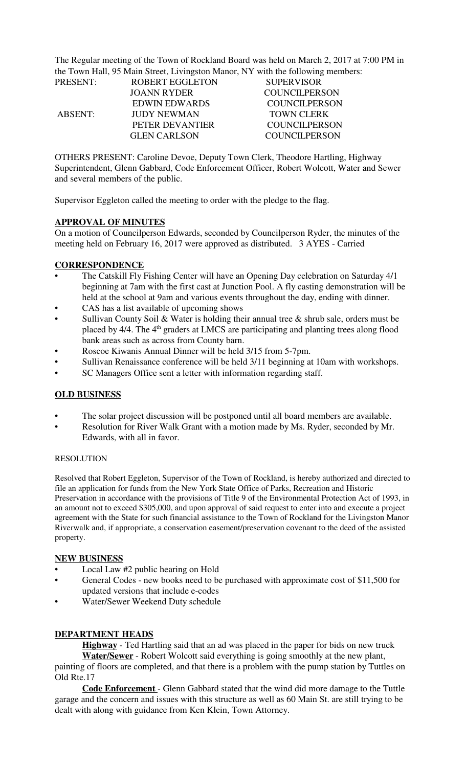The Regular meeting of the Town of Rockland Board was held on March 2, 2017 at 7:00 PM in the Town Hall, 95 Main Street, Livingston Manor, NY with the following members:

| <b>PRESENT:</b> | ROBERT EGGLETON      | <b>SUPERVISOR</b>    |
|-----------------|----------------------|----------------------|
|                 | JOANN RYDER          | COUNCILPERSON        |
|                 | <b>EDWIN EDWARDS</b> | <b>COUNCILPERSON</b> |
| <b>ABSENT:</b>  | <b>JUDY NEWMAN</b>   | <b>TOWN CLERK</b>    |
|                 | PETER DEVANTIER      | <b>COUNCILPERSON</b> |
|                 | <b>GLEN CARLSON</b>  | <b>COUNCILPERSON</b> |

OTHERS PRESENT: Caroline Devoe, Deputy Town Clerk, Theodore Hartling, Highway Superintendent, Glenn Gabbard, Code Enforcement Officer, Robert Wolcott, Water and Sewer and several members of the public.

Supervisor Eggleton called the meeting to order with the pledge to the flag.

#### **APPROVAL OF MINUTES**

On a motion of Councilperson Edwards, seconded by Councilperson Ryder, the minutes of the meeting held on February 16, 2017 were approved as distributed. 3 AYES - Carried

# **CORRESPONDENCE**

- The Catskill Fly Fishing Center will have an Opening Day celebration on Saturday 4/1 beginning at 7am with the first cast at Junction Pool. A fly casting demonstration will be held at the school at 9am and various events throughout the day, ending with dinner.
- CAS has a list available of upcoming shows
- Sullivan County Soil & Water is holding their annual tree  $\&$  shrub sale, orders must be placed by 4/4. The 4<sup>th</sup> graders at LMCS are participating and planting trees along flood bank areas such as across from County barn.
- Roscoe Kiwanis Annual Dinner will be held 3/15 from 5-7pm.
- Sullivan Renaissance conference will be held 3/11 beginning at 10am with workshops.
- SC Managers Office sent a letter with information regarding staff.

#### **OLD BUSINESS**

- The solar project discussion will be postponed until all board members are available.
- Resolution for River Walk Grant with a motion made by Ms. Ryder, seconded by Mr. Edwards, with all in favor.

#### RESOLUTION

Resolved that Robert Eggleton, Supervisor of the Town of Rockland, is hereby authorized and directed to file an application for funds from the New York State Office of Parks, Recreation and Historic Preservation in accordance with the provisions of Title 9 of the Environmental Protection Act of 1993, in an amount not to exceed \$305,000, and upon approval of said request to enter into and execute a project agreement with the State for such financial assistance to the Town of Rockland for the Livingston Manor Riverwalk and, if appropriate, a conservation easement/preservation covenant to the deed of the assisted property.

#### **NEW BUSINESS**

- Local Law #2 public hearing on Hold
- General Codes new books need to be purchased with approximate cost of \$11,500 for updated versions that include e-codes
- Water/Sewer Weekend Duty schedule

# **DEPARTMENT HEADS**

**Highway** - Ted Hartling said that an ad was placed in the paper for bids on new truck **Water/Sewer** - Robert Wolcott said everything is going smoothly at the new plant,

painting of floors are completed, and that there is a problem with the pump station by Tuttles on Old Rte.17

**Code Enforcement** - Glenn Gabbard stated that the wind did more damage to the Tuttle garage and the concern and issues with this structure as well as 60 Main St. are still trying to be dealt with along with guidance from Ken Klein, Town Attorney.